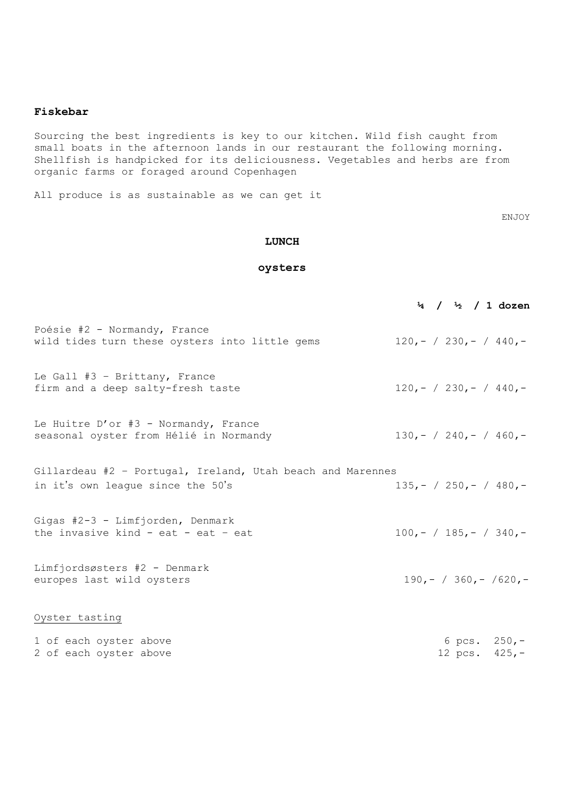#### **Fiskebar**

Sourcing the best ingredients is key to our kitchen. Wild fish caught from small boats in the afternoon lands in our restaurant the following morning. Shellfish is handpicked for its deliciousness. Vegetables and herbs are from organic farms or foraged around Copenhagen

All produce is as sustainable as we can get it

ENJOY

#### **LUNCH**

### **oysters**

|                                                                                                 |  |  | $\frac{1}{4}$ / $\frac{1}{2}$ / 1 dozen |
|-------------------------------------------------------------------------------------------------|--|--|-----------------------------------------|
| Poésie #2 - Normandy, France<br>wild tides turn these oysters into little gems                  |  |  | $120, - / 230, - / 440, -$              |
| Le Gall #3 - Brittany, France<br>firm and a deep salty-fresh taste                              |  |  | $120, - / 230, - / 440, -$              |
| Le Huitre D'or #3 - Normandy, France<br>seasonal oyster from Hélié in Normandy                  |  |  | $130, - / 240, - / 460, -$              |
| Gillardeau #2 - Portugal, Ireland, Utah beach and Marennes<br>in it's own league since the 50's |  |  | $135, - / 250, - / 480, -$              |
| Gigas #2-3 - Limfjorden, Denmark<br>the invasive kind - eat - eat - eat                         |  |  | $100, - / 185, - / 340, -$              |
| Limfjordsøsters #2 - Denmark<br>europes last wild oysters                                       |  |  | $190, - / 360, - / 620, -$              |
| Oyster tasting                                                                                  |  |  |                                         |
| 1 of each oyster above<br>2 of each oyster above                                                |  |  | 6 pcs. $250,-$<br>12 pcs. $425, -$      |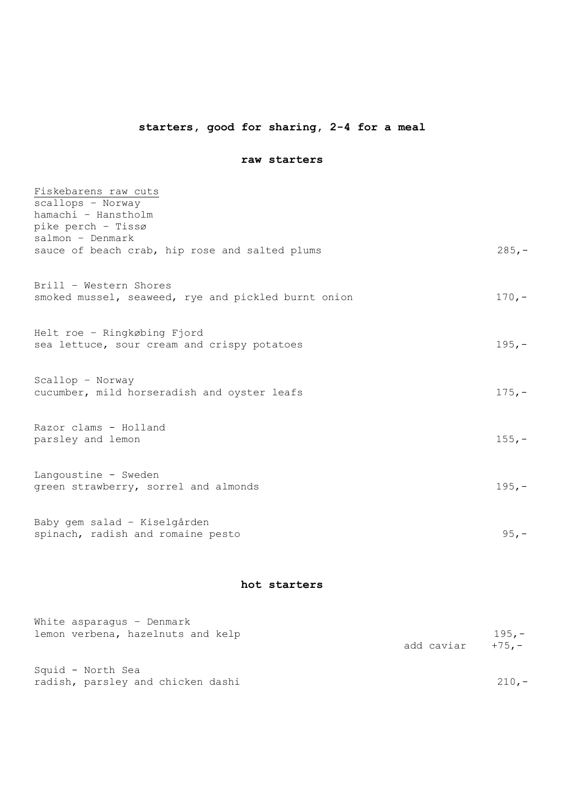# **starters, good for sharing, 2-4 for a meal**

### **raw starters**

| hamachi - Hanstholm                                                                       |
|-------------------------------------------------------------------------------------------|
|                                                                                           |
|                                                                                           |
| $285 -$<br>sauce of beach crab, hip rose and salted plums                                 |
| Brill - Western Shores                                                                    |
| $170, -$<br>smoked mussel, seaweed, rye and pickled burnt onion                           |
| Helt roe - Ringkøbing Fjord                                                               |
| $195, -$<br>sea lettuce, sour cream and crispy potatoes                                   |
|                                                                                           |
| $175, -$<br>cucumber, mild horseradish and oyster leafs                                   |
| Razor clams - Holland                                                                     |
| $155, -$                                                                                  |
|                                                                                           |
| $195, -$<br>green strawberry, sorrel and almonds                                          |
|                                                                                           |
| $95, -$                                                                                   |
| Langoustine - Sweden<br>Baby gem salad - Kiselgården<br>spinach, radish and romaine pesto |

# **hot starters**

| White asparagus - Denmark<br>lemon verbena, hazelnuts and kelp | add caviar +75.- | $195. -$ |
|----------------------------------------------------------------|------------------|----------|
| Squid - North Sea<br>radish, parsley and chicken dashi         |                  | $210 -$  |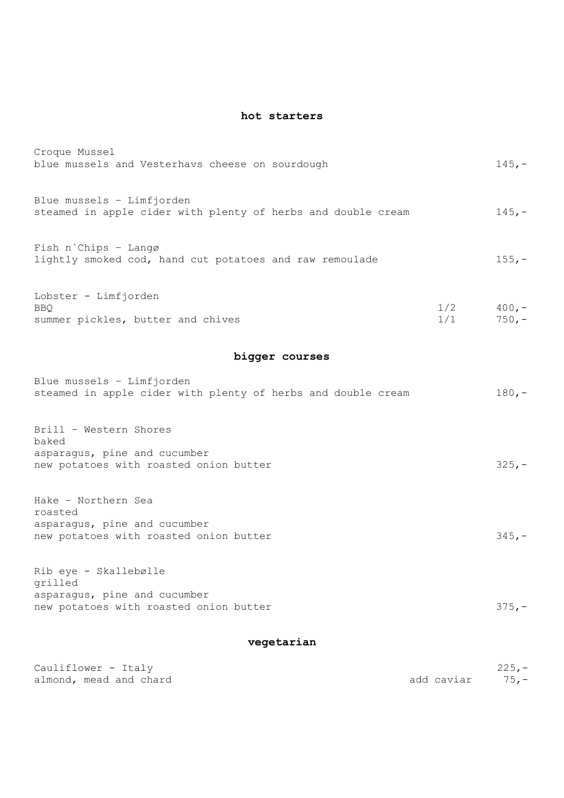## **hot starters**

| Croque Mussel<br>blue mussels and Vesterhavs cheese on sourdough                            |            | $145, -$             |
|---------------------------------------------------------------------------------------------|------------|----------------------|
| Blue mussels $-$ Limfjorden<br>steamed in apple cider with plenty of herbs and double cream |            | $145, -$             |
| Fish n'Chips - Langø<br>lightly smoked cod, hand cut potatoes and raw remoulade             |            | $155, -$             |
| Lobster - Limfjorden<br><b>BBO</b><br>summer pickles, butter and chives                     | 1/2<br>1/1 | $400, -$<br>$750, -$ |

# **bigger courses**

| Blue mussels - Limfjorden<br>steamed in apple cider with plenty of herbs and double cream                 | $180, -$ |
|-----------------------------------------------------------------------------------------------------------|----------|
| Brill - Western Shores<br>baked<br>asparagus, pine and cucumber<br>new potatoes with roasted onion butter | $325, -$ |
| Hake - Northern Sea<br>roasted<br>asparagus, pine and cucumber<br>new potatoes with roasted onion butter  | $345. -$ |

| Rib eye - Skallebølle                  |          |
|----------------------------------------|----------|
| grilled                                |          |
| asparagus, pine and cucumber           |          |
| new potatoes with roasted onion butter | $375. -$ |

# **vegetarian**

| Cauliflower - Italy    |                 | $225. -$ |
|------------------------|-----------------|----------|
| almond, mead and chard | add caviar 75,- |          |